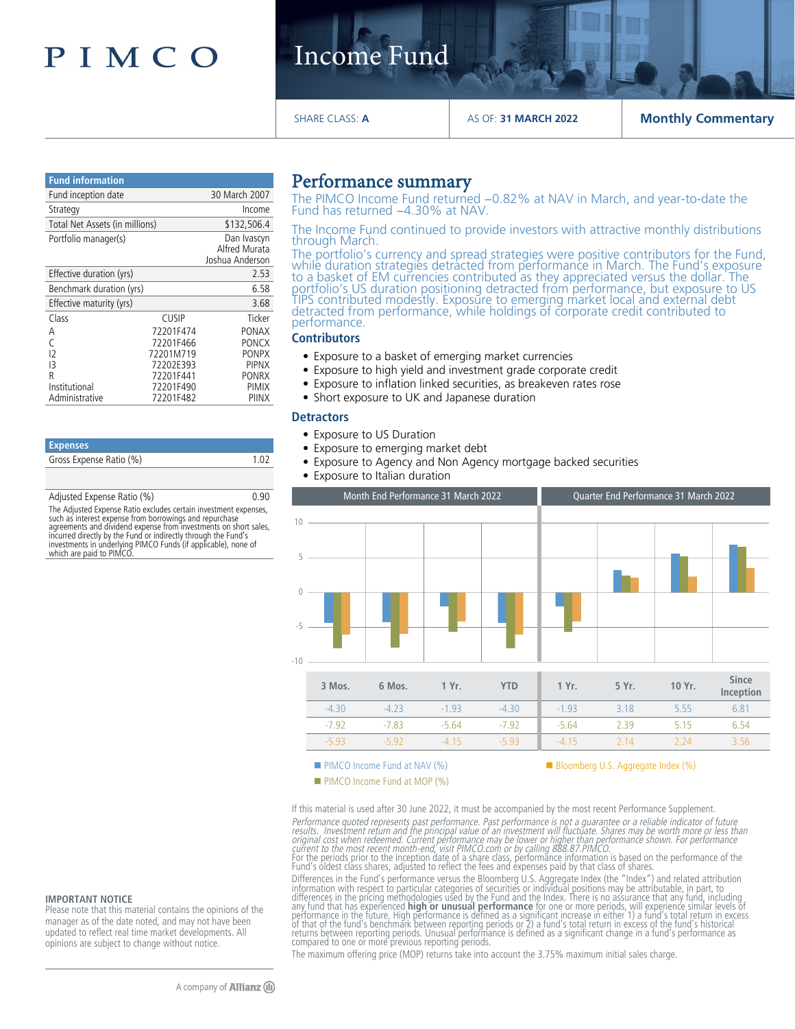# PIMCO

## Income Fund

SHARE CLASS: **A** AS OF: **31 MARCH 2022 Monthly Commentary** 

| <b>Fund information</b>        |              |                                                 |  |
|--------------------------------|--------------|-------------------------------------------------|--|
| Fund inception date            |              | 30 March 2007                                   |  |
| Strategy                       |              | Income                                          |  |
| Total Net Assets (in millions) |              | \$132,506.4                                     |  |
| Portfolio manager(s)           |              | Dan Ivascyn<br>Alfred Murata<br>Joshua Anderson |  |
| Effective duration (yrs)       |              | 2.53                                            |  |
| Benchmark duration (yrs)       |              | 6.58                                            |  |
| Effective maturity (yrs)       |              | 3.68                                            |  |
| Class                          | <b>CUSIP</b> | Ticker                                          |  |
| А                              | 72201F474    | PONAX                                           |  |
| C                              | 72201F466    | PONCX                                           |  |
| 2                              | 72201M719    | <b>PONPX</b>                                    |  |
| 13                             | 72202E393    | PIPNX                                           |  |
| R                              | 72201F441    | PONRX                                           |  |
| Institutional                  | 72201F490    | PIMIX                                           |  |
| Administrative                 | 72201F482    | PIINX                                           |  |

| <b>Expenses</b>                                                                                                             |      |  |  |
|-----------------------------------------------------------------------------------------------------------------------------|------|--|--|
| Gross Expense Ratio (%)                                                                                                     | 1.02 |  |  |
|                                                                                                                             |      |  |  |
| Adjusted Expense Ratio (%)                                                                                                  | 0.90 |  |  |
| The Adjusted Expense Ratio excludes certain investment expenses,<br>such as interest expense from borrowings and repurchase |      |  |  |

The Adjusted Expense Ratio excludes certain investment expenses,<br>such as interest expense from borowings and repurchase<br>agreements and dividend expense from investments on short sales,<br>incurred directly by the Fund or indi

### **Performance summary**

The PIMCO Income Fund returned −0.82% at NAV in March, and year-to-date the Fund has returned −4.30% at NAV.

#### The Income Fund continued to provide investors with attractive monthly distributions through March.

The portfolio's currency and spread strategies were positive contributors for the Fund, while duration strategies detracted from performance in March. The Fund's exposure to a basket of EM currencies contributed as they appreciated versus the dollar. The portfolio's US duration positioning detracted from performance, but exposure to US TIPS contributed modestly. Exposure to emerging market local and external debt detracted from performance, while holdings of corporate credit contributed to performance.

#### **Contributors**

- Exposure to a basket of emerging market currencies
- Exposure to high yield and investment grade corporate credit
- Exposure to inflation linked securities, as breakeven rates rose
- Short exposure to UK and Japanese duration

#### **Detractors**

- Exposure to US Duration
- Exposure to emerging market debt
- Exposure to Agency and Non Agency mortgage backed securities
- Exposure to Italian duration



■ PIMCO Income Fund at NAV (%)

■ Bloomberg U.S. Aggregate Index (%)

■ PIMCO Income Fund at MOP (%)

If this material is used after 30 June 2022, it must be accompanied by the most recent Performance Supplement. Performance quoted represents past performance. Past performance is not a guarantee or a reliable indicator of future<br>results. Investment return and the principal value of an investment will fluctuate. Shares may be worth

Differences in the Fund's performance versus the Bloomberg U.S. Aggregate Index (the "Index") and related attribution information with respect to particular categories of securities or individual positions may be attribute

The maximum offering price (MOP) returns take into account the 3.75% maximum initial sales charge.

Please note that this material contains the opinions of the manager as of the date noted, and may not have been updated to reflect real time market developments. All opinions are subject to change without notice.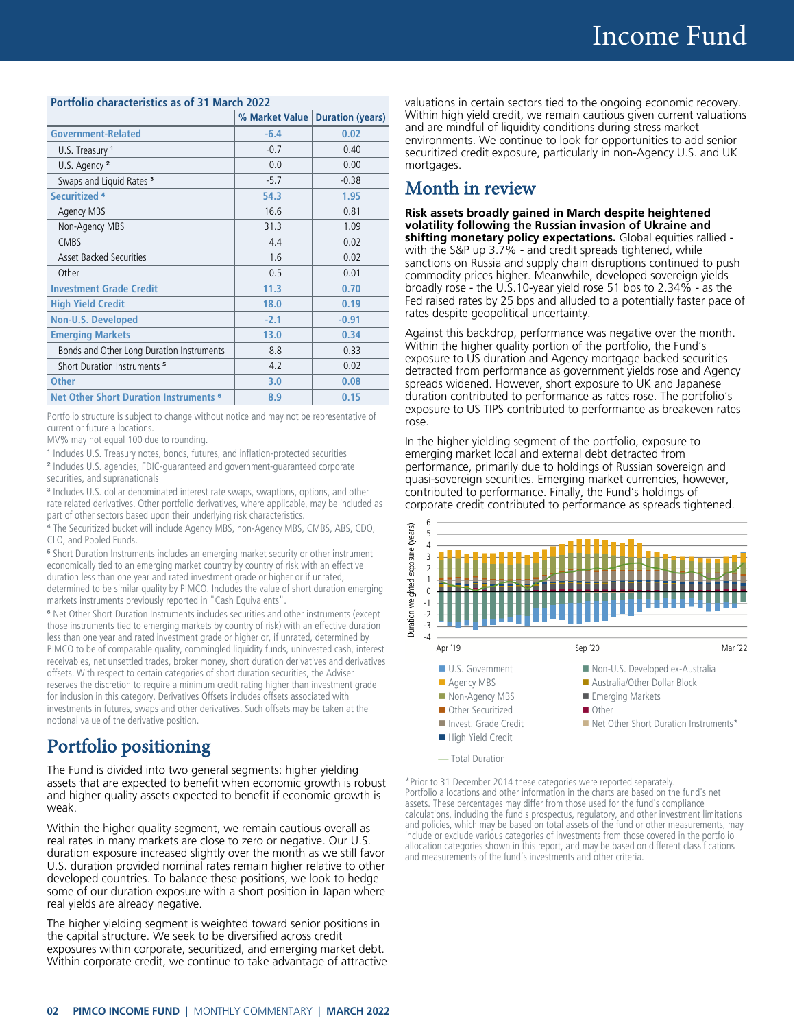#### **Portfolio characteristics as of 31 March 2022**

|                                                   |        | % Market Value   Duration (years) |
|---------------------------------------------------|--------|-----------------------------------|
| <b>Government-Related</b>                         | $-6.4$ | 0.02                              |
| U.S. Treasury 1                                   | $-0.7$ | 0.40                              |
| U.S. Agency <sup>2</sup>                          | 0.0    | 0.00                              |
| Swaps and Liquid Rates <sup>3</sup>               | $-5.7$ | $-0.38$                           |
| <b>Securitized 4</b>                              | 54.3   | 1.95                              |
| Agency MBS                                        | 16.6   | 0.81                              |
| Non-Agency MBS                                    | 31.3   | 1.09                              |
| <b>CMBS</b>                                       | 4.4    | 0.02                              |
| <b>Asset Backed Securities</b>                    | 1.6    | 0.02                              |
| Other                                             | 0.5    | 0.01                              |
| <b>Investment Grade Credit</b>                    | 11.3   | 0.70                              |
| <b>High Yield Credit</b>                          | 18.0   | 0.19                              |
| <b>Non-U.S. Developed</b>                         | $-2.1$ | $-0.91$                           |
| <b>Emerging Markets</b>                           | 13.0   | 0.34                              |
| Bonds and Other Long Duration Instruments         | 8.8    | 0.33                              |
| Short Duration Instruments <sup>5</sup>           | 4.2    | 0.02                              |
| <b>Other</b>                                      | 3.0    | 0.08                              |
| Net Other Short Duration Instruments <sup>6</sup> | 8.9    | 0.15                              |

Portfolio structure is subject to change without notice and may not be representative of current or future allocations.

MV% may not equal 100 due to rounding.

<sup>1</sup> Includes U.S. Treasury notes, bonds, futures, and inflation-protected securities ² Includes U.S. agencies, FDIC-guaranteed and government-guaranteed corporate

securities, and supranationals

<sup>3</sup> Includes U.S. dollar denominated interest rate swaps, swaptions, options, and other rate related derivatives. Other portfolio derivatives, where applicable, may be included as part of other sectors based upon their underlying risk characteristics.

<sup>4</sup> The Securitized bucket will include Agency MBS, non-Agency MBS, CMBS, ABS, CDO, CLO, and Pooled Funds.

⁵ Short Duration Instruments includes an emerging market security or other instrument economically tied to an emerging market country by country of risk with an effective duration less than one year and rated investment grade or higher or if unrated, determined to be similar quality by PIMCO. Includes the value of short duration emerging markets instruments previously reported in "Cash Equivalents".

<sup>6</sup> Net Other Short Duration Instruments includes securities and other instruments (except those instruments tied to emerging markets by country of risk) with an effective duration less than one year and rated investment grade or higher or, if unrated, determined by PIMCO to be of comparable quality, commingled liquidity funds, uninvested cash, interest receivables, net unsettled trades, broker money, short duration derivatives and derivatives offsets. With respect to certain categories of short duration securities, the Adviser reserves the discretion to require a minimum credit rating higher than investment grade for inclusion in this category. Derivatives Offsets includes offsets associated with investments in futures, swaps and other derivatives. Such offsets may be taken at the notional value of the derivative position.

## **Portfolio positioning**

The Fund is divided into two general segments: higher yielding assets that are expected to benefit when economic growth is robust and higher quality assets expected to benefit if economic growth is weak.

Within the higher quality segment, we remain cautious overall as real rates in many markets are close to zero or negative. Our U.S. duration exposure increased slightly over the month as we still favor U.S. duration provided nominal rates remain higher relative to other developed countries. To balance these positions, we look to hedge some of our duration exposure with a short position in Japan where real yields are already negative.

The higher yielding segment is weighted toward senior positions in the capital structure. We seek to be diversified across credit exposures within corporate, securitized, and emerging market debt. Within corporate credit, we continue to take advantage of attractive

valuations in certain sectors tied to the ongoing economic recovery. Within high yield credit, we remain cautious given current valuations and are mindful of liquidity conditions during stress market environments. We continue to look for opportunities to add senior securitized credit exposure, particularly in non-Agency U.S. and UK mortgages.

### **Month in review**

**Risk assets broadly gained in March despite heightened volatility following the Russian invasion of Ukraine and shifting monetary policy expectations.** Global equities rallied with the S&P up 3.7% - and credit spreads tightened, while sanctions on Russia and supply chain disruptions continued to push commodity prices higher. Meanwhile, developed sovereign yields broadly rose - the U.S.10-year yield rose 51 bps to 2.34% - as the Fed raised rates by 25 bps and alluded to a potentially faster pace of rates despite geopolitical uncertainty.

Against this backdrop, performance was negative over the month. Within the higher quality portion of the portfolio, the Fund's exposure to US duration and Agency mortgage backed securities detracted from performance as government yields rose and Agency spreads widened. However, short exposure to UK and Japanese duration contributed to performance as rates rose. The portfolio's exposure to US TIPS contributed to performance as breakeven rates rose.

In the higher yielding segment of the portfolio, exposure to emerging market local and external debt detracted from performance, primarily due to holdings of Russian sovereign and quasi-sovereign securities. Emerging market currencies, however, contributed to performance. Finally, the Fund's holdings of corporate credit contributed to performance as spreads tightened.



\*Prior to 31 December 2014 these categories were reported separately. Portfolio allocations and other information in the charts are based on the fund's net assets. These percentages may differ from those used for the fund's compliance calculations, including the fund's prospectus, regulatory, and other investment limitations and policies, which may be based on total assets of the fund or other measurements, may include or exclude various categories of investments from those covered in the portfolio allocation categories shown in this report, and may be based on different classifications and measurements of the fund's investments and other criteria.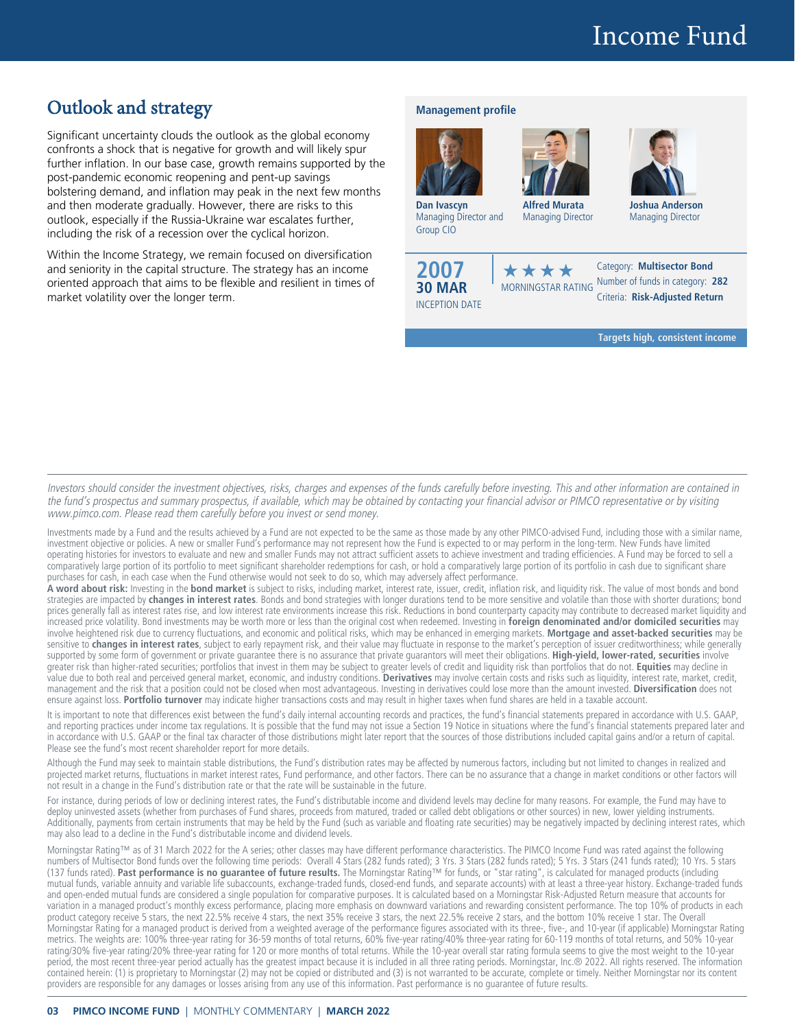# Income Fund

### **Outlook and strategy**

Significant uncertainty clouds the outlook as the global economy confronts a shock that is negative for growth and will likely spur further inflation. In our base case, growth remains supported by the post-pandemic economic reopening and pent-up savings bolstering demand, and inflation may peak in the next few months and then moderate gradually. However, there are risks to this outlook, especially if the Russia-Ukraine war escalates further, including the risk of a recession over the cyclical horizon.

Within the Income Strategy, we remain focused on diversification and seniority in the capital structure. The strategy has an income oriented approach that aims to be flexible and resilient in times of market volatility over the longer term.

#### **Management profile**



Managing Director and Group CIO



Managing Director

★★★★

**Joshua Anderson** Managing Director

**2007 30 MAR**

INCEPTION DATE



Criteria: **Risk-Adjusted Return**

**Targets high, consistent income**

*Investors should consider the investment objectives, risks, charges and expenses of the funds carefully before investing. This and other information are contained in the fund's prospectus and summary prospectus, if available, which may be obtained by contacting your financial advisor or PIMCO representative or by visiting www.pimco.com. Please read them carefully before you invest or send money.*

Investments made by a Fund and the results achieved by a Fund are not expected to be the same as those made by any other PIMCO-advised Fund, including those with a similar name, investment objective or policies. A new or smaller Fund's performance may not represent how the Fund is expected to or may perform in the long-term. New Funds have limited operating histories for investors to evaluate and new and smaller Funds may not attract sufficient assets to achieve investment and trading efficiencies. A Fund may be forced to sell a comparatively large portion of its portfolio to meet significant shareholder redemptions for cash, or hold a comparatively large portion of its portfolio in cash due to significant share purchases for cash, in each case when the Fund otherwise would not seek to do so, which may adversely affect performance.

**A word about risk:** Investing in the **bond market** is subject to risks, including market, interest rate, issuer, credit, inflation risk, and liquidity risk. The value of most bonds and bond strategies are impacted by **changes in interest rates**. Bonds and bond strategies with longer durations tend to be more sensitive and volatile than those with shorter durations; bond prices generally fall as interest rates rise, and low interest rate environments increase this risk. Reductions in bond counterparty capacity may contribute to decreased market liquidity and increased price volatility. Bond investments may be worth more or less than the original cost when redeemed. Investing in **foreign denominated and/or domiciled securities** may involve heightened risk due to currency fluctuations, and economic and political risks, which may be enhanced in emerging markets. **Mortgage and asset-backed securities** may be sensitive to **changes in interest rates**, subject to early repayment risk, and their value may fluctuate in response to the market's perception of issuer creditworthiness; while generally supported by some form of government or private guarantee there is no assurance that private guarantors will meet their obligations. **High-yield, lower-rated, securities** involve greater risk than higher-rated securities; portfolios that invest in them may be subject to greater levels of credit and liquidity risk than portfolios that do not. **Equities** may decline in value due to both real and perceived general market, economic, and industry conditions. **Derivatives** may involve certain costs and risks such as liquidity, interest rate, market, credit, management and the risk that a position could not be closed when most advantageous. Investing in derivatives could lose more than the amount invested. **Diversification** does not ensure against loss. **Portfolio turnover** may indicate higher transactions costs and may result in higher taxes when fund shares are held in a taxable account.

It is important to note that differences exist between the fund's daily internal accounting records and practices, the fund's financial statements prepared in accordance with U.S. GAAP, and reporting practices under income tax regulations. It is possible that the fund may not issue a Section 19 Notice in situations where the fund's financial statements prepared later and in accordance with U.S. GAAP or the final tax character of those distributions might later report that the sources of those distributions included capital gains and/or a return of capital. Please see the fund's most recent shareholder report for more details.

Although the Fund may seek to maintain stable distributions, the Fund's distribution rates may be affected by numerous factors, including but not limited to changes in realized and projected market returns, fluctuations in market interest rates, Fund performance, and other factors. There can be no assurance that a change in market conditions or other factors will not result in a change in the Fund's distribution rate or that the rate will be sustainable in the future.

For instance, during periods of low or declining interest rates, the Fund's distributable income and dividend levels may decline for many reasons. For example, the Fund may have to deploy uninvested assets (whether from purchases of Fund shares, proceeds from matured, traded or called debt obligations or other sources) in new, lower yielding instruments. Additionally, payments from certain instruments that may be held by the Fund (such as variable and floating rate securities) may be negatively impacted by declining interest rates, which may also lead to a decline in the Fund's distributable income and dividend levels.

Morningstar Rating™ as of 31 March 2022 for the A series; other classes may have different performance characteristics. The PIMCO Income Fund was rated against the following numbers of Multisector Bond funds over the following time periods: Overall 4 Stars (282 funds rated); 3 Yrs. 3 Stars (282 funds rated); 5 Yrs. 3 Stars (241 funds rated); 10 Yrs. 5 stars (137 funds rated). **Past performance is no guarantee of future results.** The Morningstar Rating™ for funds, or "star rating", is calculated for managed products (including mutual funds, variable annuity and variable life subaccounts, exchange-traded funds, closed-end funds, and separate accounts) with at least a three-year history. Exchange-traded funds and open-ended mutual funds are considered a single population for comparative purposes. It is calculated based on a Morningstar Risk-Adjusted Return measure that accounts for variation in a managed product's monthly excess performance, placing more emphasis on downward variations and rewarding consistent performance. The top 10% of products in each product category receive 5 stars, the next 22.5% receive 4 stars, the next 35% receive 3 stars, the next 22.5% receive 2 stars, and the bottom 10% receive 1 star. The Overall Morningstar Rating for a managed product is derived from a weighted average of the performance figures associated with its three-, five-, and 10-year (if applicable) Morningstar Rating metrics. The weights are: 100% three-year rating for 36-59 months of total returns, 60% five-year rating/40% three-year rating for 60-119 months of total returns, and 50% 10-year rating/30% five-year rating/20% three-year rating for 120 or more months of total returns. While the 10-year overall star rating formula seems to give the most weight to the 10-year period, the most recent three-year period actually has the greatest impact because it is included in all three rating periods. Morningstar, Inc.® 2022. All rights reserved. The information contained herein: (1) is proprietary to Morningstar (2) may not be copied or distributed and (3) is not warranted to be accurate, complete or timely. Neither Morningstar nor its content providers are responsible for any damages or losses arising from any use of this information. Past performance is no guarantee of future results.